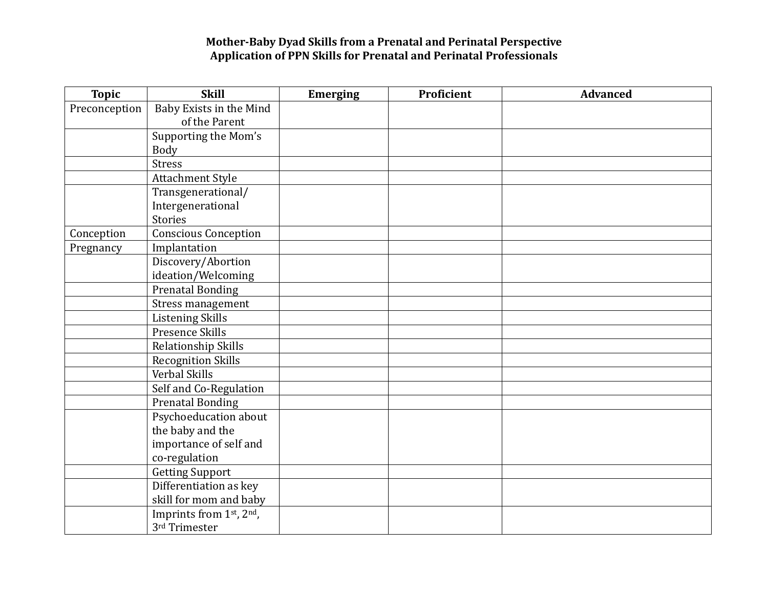## **Mother-Baby Dyad Skills from a Prenatal and Perinatal Perspective Application of PPN Skills for Prenatal and Perinatal Professionals**

| <b>Topic</b>  | <b>Skill</b>                | <b>Emerging</b> | Proficient | <b>Advanced</b> |
|---------------|-----------------------------|-----------------|------------|-----------------|
| Preconception | Baby Exists in the Mind     |                 |            |                 |
|               | of the Parent               |                 |            |                 |
|               | Supporting the Mom's        |                 |            |                 |
|               | <b>Body</b>                 |                 |            |                 |
|               | <b>Stress</b>               |                 |            |                 |
|               | Attachment Style            |                 |            |                 |
|               | Transgenerational/          |                 |            |                 |
|               | Intergenerational           |                 |            |                 |
|               | <b>Stories</b>              |                 |            |                 |
| Conception    | <b>Conscious Conception</b> |                 |            |                 |
| Pregnancy     | Implantation                |                 |            |                 |
|               | Discovery/Abortion          |                 |            |                 |
|               | ideation/Welcoming          |                 |            |                 |
|               | <b>Prenatal Bonding</b>     |                 |            |                 |
|               | Stress management           |                 |            |                 |
|               | <b>Listening Skills</b>     |                 |            |                 |
|               | Presence Skills             |                 |            |                 |
|               | Relationship Skills         |                 |            |                 |
|               | <b>Recognition Skills</b>   |                 |            |                 |
|               | Verbal Skills               |                 |            |                 |
|               | Self and Co-Regulation      |                 |            |                 |
|               | <b>Prenatal Bonding</b>     |                 |            |                 |
|               | Psychoeducation about       |                 |            |                 |
|               | the baby and the            |                 |            |                 |
|               | importance of self and      |                 |            |                 |
|               | co-regulation               |                 |            |                 |
|               | <b>Getting Support</b>      |                 |            |                 |
|               | Differentiation as key      |                 |            |                 |
|               | skill for mom and baby      |                 |            |                 |
|               | Imprints from 1st, 2nd,     |                 |            |                 |
|               | 3rd Trimester               |                 |            |                 |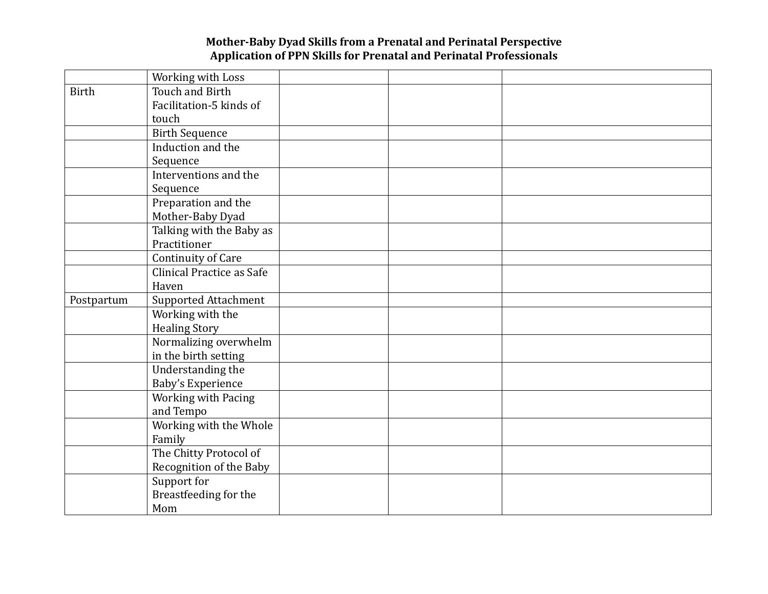## **Mother-Baby Dyad Skills from a Prenatal and Perinatal Perspective Application of PPN Skills for Prenatal and Perinatal Professionals**

|              | Working with Loss           |  |  |
|--------------|-----------------------------|--|--|
| <b>Birth</b> | Touch and Birth             |  |  |
|              | Facilitation-5 kinds of     |  |  |
|              | touch                       |  |  |
|              | <b>Birth Sequence</b>       |  |  |
|              | Induction and the           |  |  |
|              | Sequence                    |  |  |
|              | Interventions and the       |  |  |
|              | Sequence                    |  |  |
|              | Preparation and the         |  |  |
|              | Mother-Baby Dyad            |  |  |
|              | Talking with the Baby as    |  |  |
|              | Practitioner                |  |  |
|              | <b>Continuity of Care</b>   |  |  |
|              | Clinical Practice as Safe   |  |  |
|              | Haven                       |  |  |
| Postpartum   | <b>Supported Attachment</b> |  |  |
|              | Working with the            |  |  |
|              | <b>Healing Story</b>        |  |  |
|              | Normalizing overwhelm       |  |  |
|              | in the birth setting        |  |  |
|              | Understanding the           |  |  |
|              | <b>Baby's Experience</b>    |  |  |
|              | Working with Pacing         |  |  |
|              | and Tempo                   |  |  |
|              | Working with the Whole      |  |  |
|              | Family                      |  |  |
|              | The Chitty Protocol of      |  |  |
|              | Recognition of the Baby     |  |  |
|              | Support for                 |  |  |
|              | Breastfeeding for the       |  |  |
|              | Mom                         |  |  |